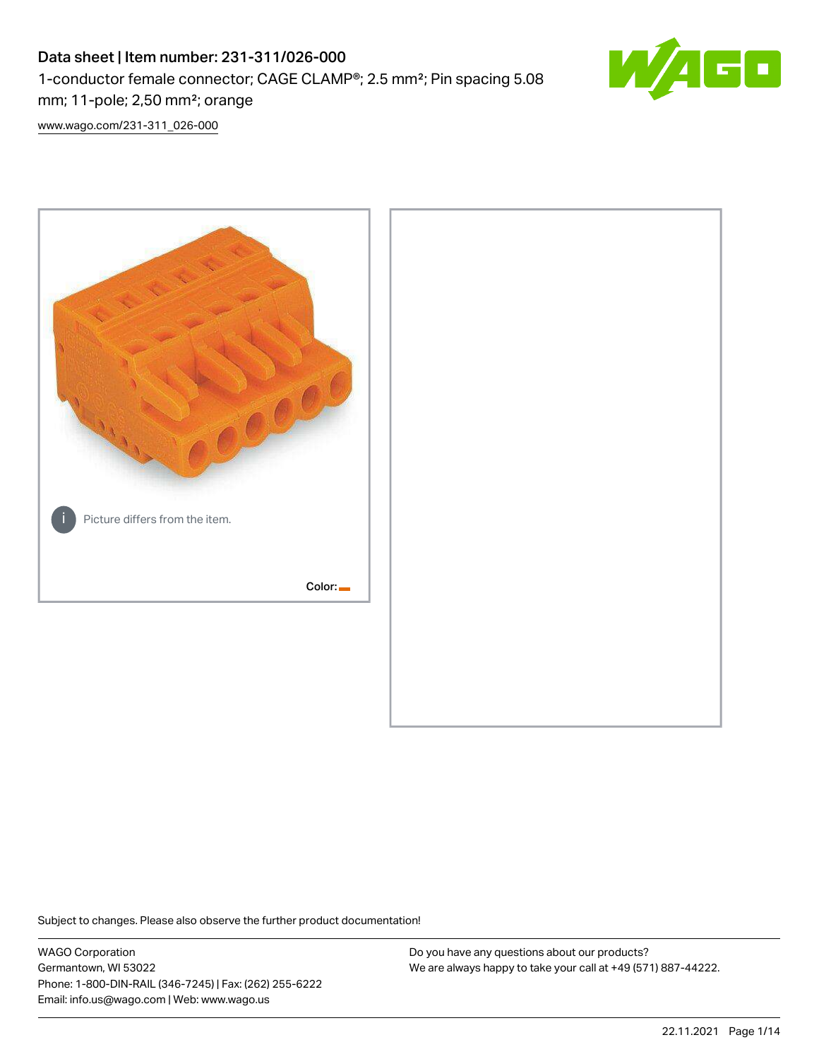# Data sheet | Item number: 231-311/026-000 1-conductor female connector; CAGE CLAMP®; 2.5 mm²; Pin spacing 5.08 mm; 11-pole; 2,50 mm²; orange



[www.wago.com/231-311\\_026-000](http://www.wago.com/231-311_026-000)



Subject to changes. Please also observe the further product documentation!

WAGO Corporation Germantown, WI 53022 Phone: 1-800-DIN-RAIL (346-7245) | Fax: (262) 255-6222 Email: info.us@wago.com | Web: www.wago.us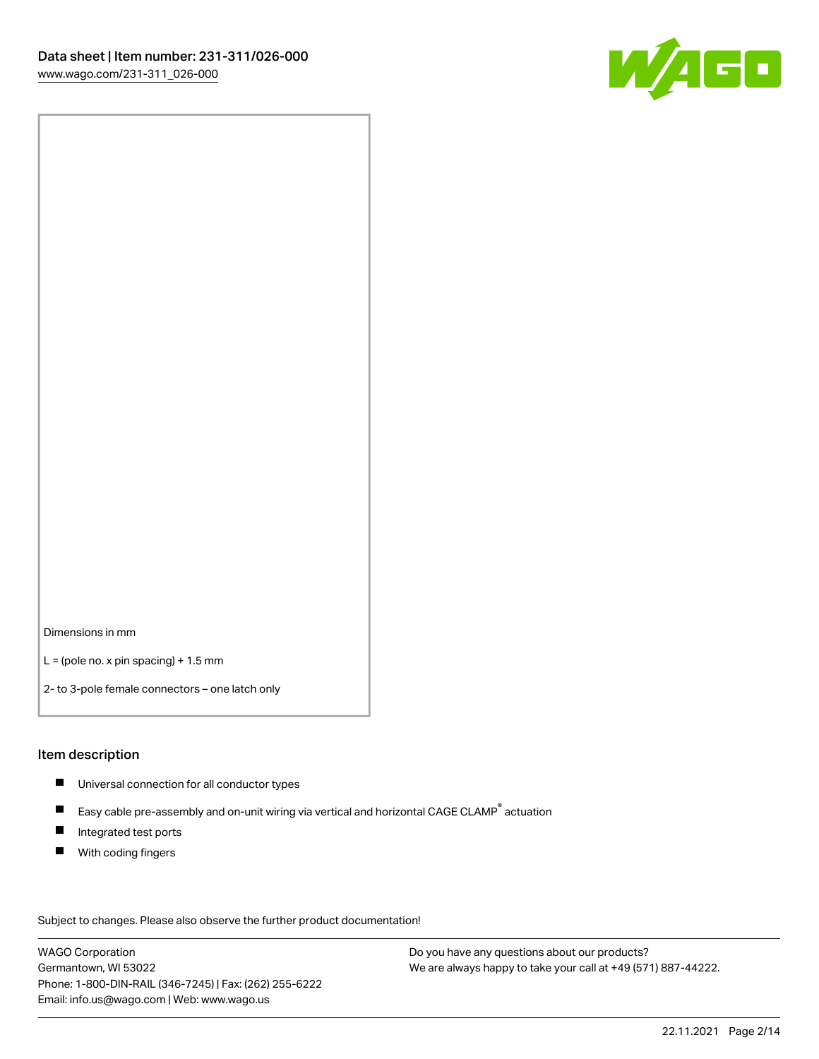

Dimensions in mm

 $L =$  (pole no. x pin spacing) + 1.5 mm

2- to 3-pole female connectors – one latch only

#### Item description

- **Universal connection for all conductor types**
- Easy cable pre-assembly and on-unit wiring via vertical and horizontal CAGE CLAMP<sup>®</sup> actuation  $\blacksquare$
- $\blacksquare$ Integrated test ports
- $\blacksquare$ With coding fingers

Subject to changes. Please also observe the further product documentation! Data

WAGO Corporation Germantown, WI 53022 Phone: 1-800-DIN-RAIL (346-7245) | Fax: (262) 255-6222 Email: info.us@wago.com | Web: www.wago.us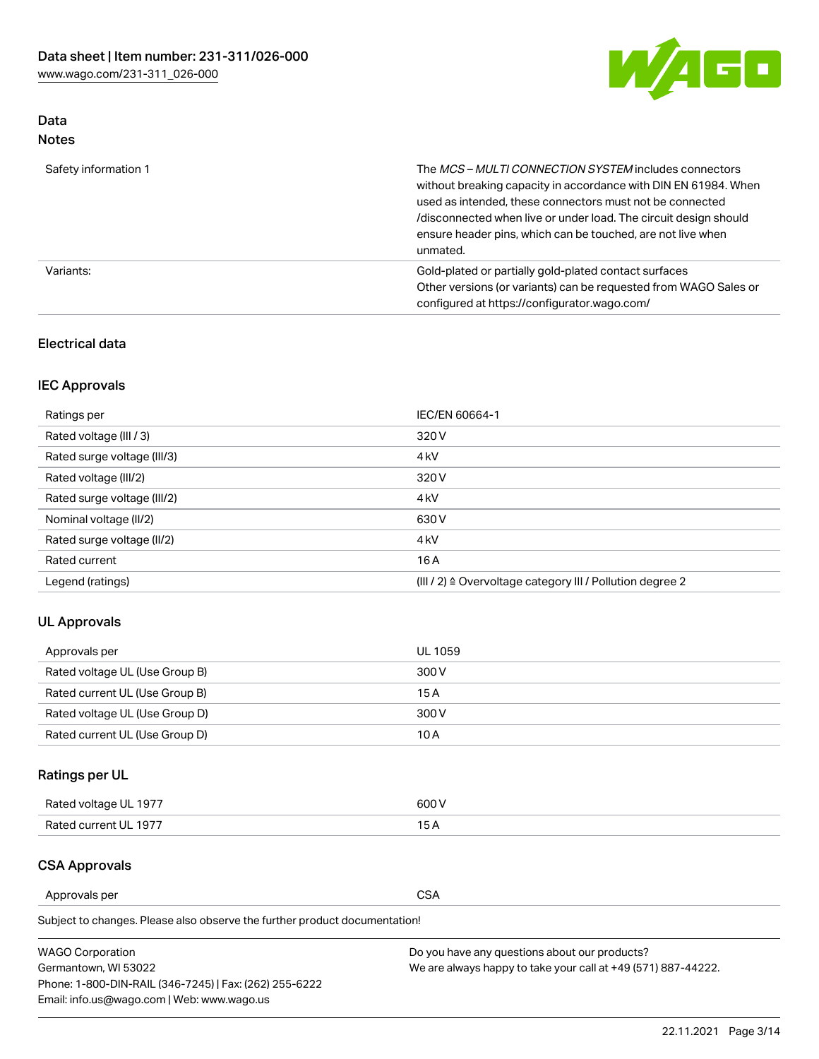

## Data Notes

| Safety information 1 | The MCS-MULTI CONNECTION SYSTEM includes connectors<br>without breaking capacity in accordance with DIN EN 61984. When<br>used as intended, these connectors must not be connected<br>/disconnected when live or under load. The circuit design should<br>ensure header pins, which can be touched, are not live when<br>unmated. |
|----------------------|-----------------------------------------------------------------------------------------------------------------------------------------------------------------------------------------------------------------------------------------------------------------------------------------------------------------------------------|
| Variants:            | Gold-plated or partially gold-plated contact surfaces<br>Other versions (or variants) can be requested from WAGO Sales or<br>configured at https://configurator.wago.com/                                                                                                                                                         |

## Electrical data

# IEC Approvals

| Ratings per                 | IEC/EN 60664-1                                                        |
|-----------------------------|-----------------------------------------------------------------------|
| Rated voltage (III / 3)     | 320 V                                                                 |
| Rated surge voltage (III/3) | 4 <sub>k</sub> V                                                      |
| Rated voltage (III/2)       | 320 V                                                                 |
| Rated surge voltage (III/2) | 4 <sub>k</sub> V                                                      |
| Nominal voltage (II/2)      | 630 V                                                                 |
| Rated surge voltage (II/2)  | 4 <sub>k</sub> V                                                      |
| Rated current               | 16A                                                                   |
| Legend (ratings)            | $(III / 2)$ $\triangle$ Overvoltage category III / Pollution degree 2 |

## UL Approvals

| Approvals per                  | UL 1059 |
|--------------------------------|---------|
| Rated voltage UL (Use Group B) | 300 V   |
| Rated current UL (Use Group B) | 15 A    |
| Rated voltage UL (Use Group D) | 300 V   |
| Rated current UL (Use Group D) | 10 A    |

# Ratings per UL

| Rated voltage UL 1977 | 600 V         |
|-----------------------|---------------|
| Rated current UL 1977 | $\sim$ $\sim$ |

## CSA Approvals

Approvals per CSA

Subject to changes. Please also observe the further product documentation!

| <b>WAGO Corporation</b>                                | Do you have any questions about our products?                 |
|--------------------------------------------------------|---------------------------------------------------------------|
| Germantown, WI 53022                                   | We are always happy to take your call at +49 (571) 887-44222. |
| Phone: 1-800-DIN-RAIL (346-7245)   Fax: (262) 255-6222 |                                                               |
| Email: info.us@wago.com   Web: www.wago.us             |                                                               |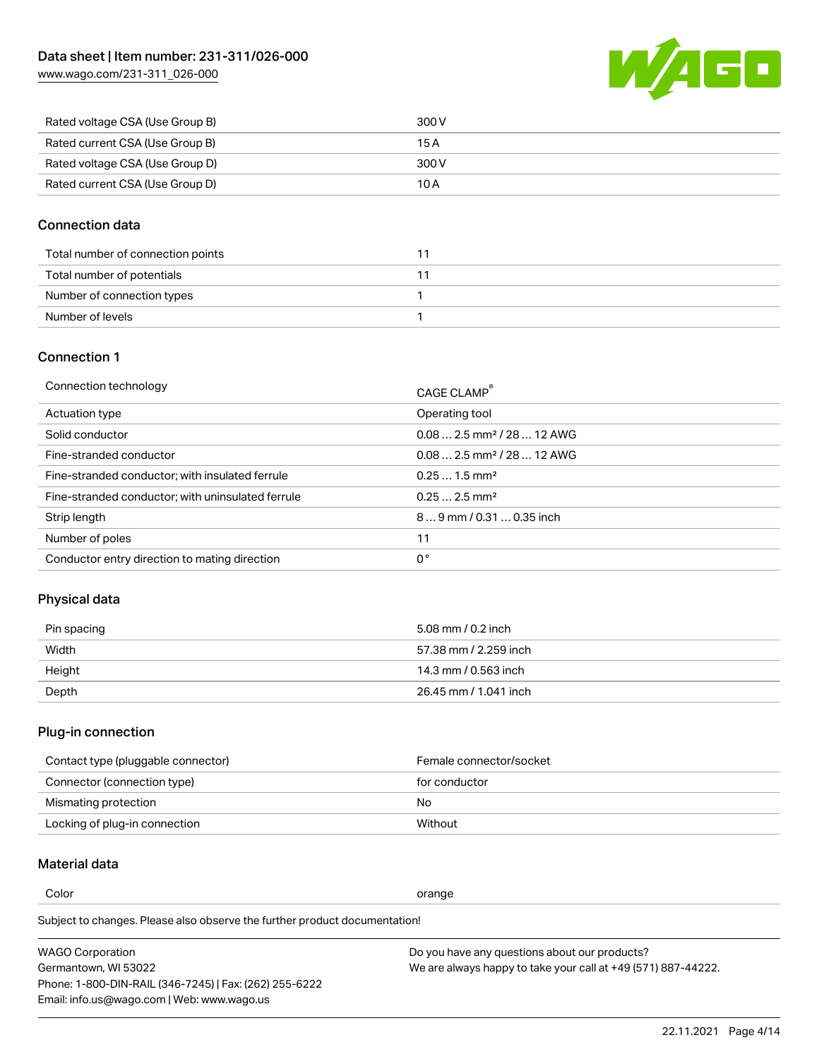[www.wago.com/231-311\\_026-000](http://www.wago.com/231-311_026-000)



| Rated voltage CSA (Use Group B) | 300 V |
|---------------------------------|-------|
| Rated current CSA (Use Group B) | 15 A  |
| Rated voltage CSA (Use Group D) | 300 V |
| Rated current CSA (Use Group D) | 10 A  |

### Connection data

| Total number of connection points |  |
|-----------------------------------|--|
| Total number of potentials        |  |
| Number of connection types        |  |
| Number of levels                  |  |

#### Connection 1

| Connection technology                             | CAGE CLAMP <sup>®</sup>                |
|---------------------------------------------------|----------------------------------------|
| Actuation type                                    | Operating tool                         |
| Solid conductor                                   | $0.082.5$ mm <sup>2</sup> / 28  12 AWG |
| Fine-stranded conductor                           | $0.082.5$ mm <sup>2</sup> / 28  12 AWG |
| Fine-stranded conductor; with insulated ferrule   | $0.251.5$ mm <sup>2</sup>              |
| Fine-stranded conductor; with uninsulated ferrule | $0.252.5$ mm <sup>2</sup>              |
| Strip length                                      | 89 mm / 0.31  0.35 inch                |
| Number of poles                                   | 11                                     |
| Conductor entry direction to mating direction     | 0°                                     |
|                                                   |                                        |

# Physical data

| Pin spacing | 5.08 mm / 0.2 inch    |
|-------------|-----------------------|
| Width       | 57.38 mm / 2.259 inch |
| Height      | 14.3 mm / 0.563 inch  |
| Depth       | 26.45 mm / 1.041 inch |

# Plug-in connection

| Contact type (pluggable connector) | Female connector/socket |
|------------------------------------|-------------------------|
| Connector (connection type)        | for conductor           |
| Mismating protection               | No                      |
| Locking of plug-in connection      | Without                 |

## Material data

Color contracts and contracts of the contracts of the contracts of the contracts of the contracts of the contracts of the contracts of the contracts of the contracts of the contracts of the contracts of the contracts of th

Subject to changes. Please also observe the further product documentation! Material group I

| <b>WAGO Corporation</b>                                | Do you have any questions about our products?                 |
|--------------------------------------------------------|---------------------------------------------------------------|
| Germantown, WI 53022                                   | We are always happy to take your call at +49 (571) 887-44222. |
| Phone: 1-800-DIN-RAIL (346-7245)   Fax: (262) 255-6222 |                                                               |
| Email: info.us@wago.com   Web: www.wago.us             |                                                               |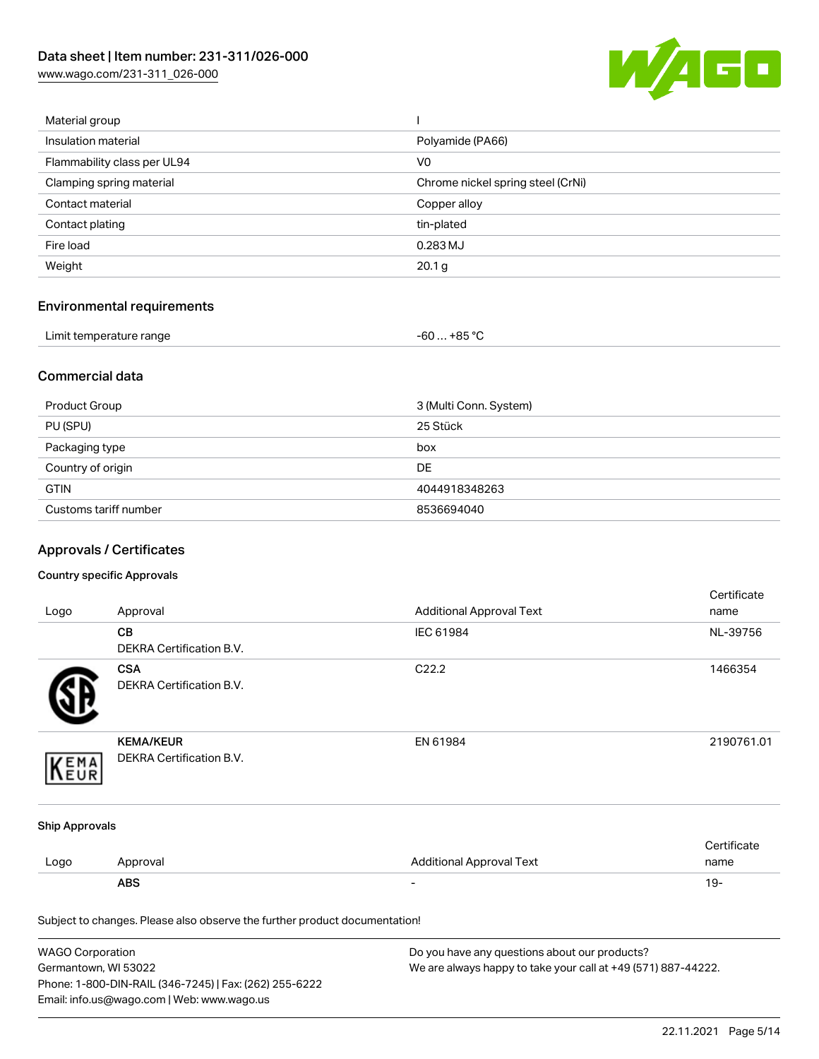[www.wago.com/231-311\\_026-000](http://www.wago.com/231-311_026-000)



| Material group              |                                   |
|-----------------------------|-----------------------------------|
| Insulation material         | Polyamide (PA66)                  |
| Flammability class per UL94 | V <sub>0</sub>                    |
| Clamping spring material    | Chrome nickel spring steel (CrNi) |
| Contact material            | Copper alloy                      |
| Contact plating             | tin-plated                        |
| Fire load                   | 0.283 MJ                          |
| Weight                      | 20.1 g                            |
|                             |                                   |

# Environmental requirements

| Limit temperature range | $-60+85 °C$ |
|-------------------------|-------------|
|-------------------------|-------------|

### Commercial data

| Product Group         | 3 (Multi Conn. System) |
|-----------------------|------------------------|
| PU (SPU)              | 25 Stück               |
| Packaging type        | box                    |
| Country of origin     | <b>DE</b>              |
| <b>GTIN</b>           | 4044918348263          |
| Customs tariff number | 8536694040             |

# Approvals / Certificates

#### Country specific Approvals

| Logo                  | Approval                                                                   | <b>Additional Approval Text</b> | Certificate<br>name |
|-----------------------|----------------------------------------------------------------------------|---------------------------------|---------------------|
|                       | CВ<br>DEKRA Certification B.V.                                             | IEC 61984                       | NL-39756            |
|                       | <b>CSA</b><br><b>DEKRA Certification B.V.</b>                              | C22.2                           | 1466354             |
| EMA                   | <b>KEMA/KEUR</b><br>DEKRA Certification B.V.                               | EN 61984                        | 2190761.01          |
| <b>Ship Approvals</b> |                                                                            |                                 |                     |
| Logo                  | Approval                                                                   | <b>Additional Approval Text</b> | Certificate<br>name |
|                       | <b>ABS</b>                                                                 |                                 | $19 -$              |
|                       | Subject to changes. Please also observe the further product documentation! |                                 |                     |

| WAGO Corporation                                       | Do you have any questions about our products?                 |
|--------------------------------------------------------|---------------------------------------------------------------|
| Germantown, WI 53022                                   | We are always happy to take your call at +49 (571) 887-44222. |
| Phone: 1-800-DIN-RAIL (346-7245)   Fax: (262) 255-6222 |                                                               |
| Email: info.us@wago.com   Web: www.wago.us             |                                                               |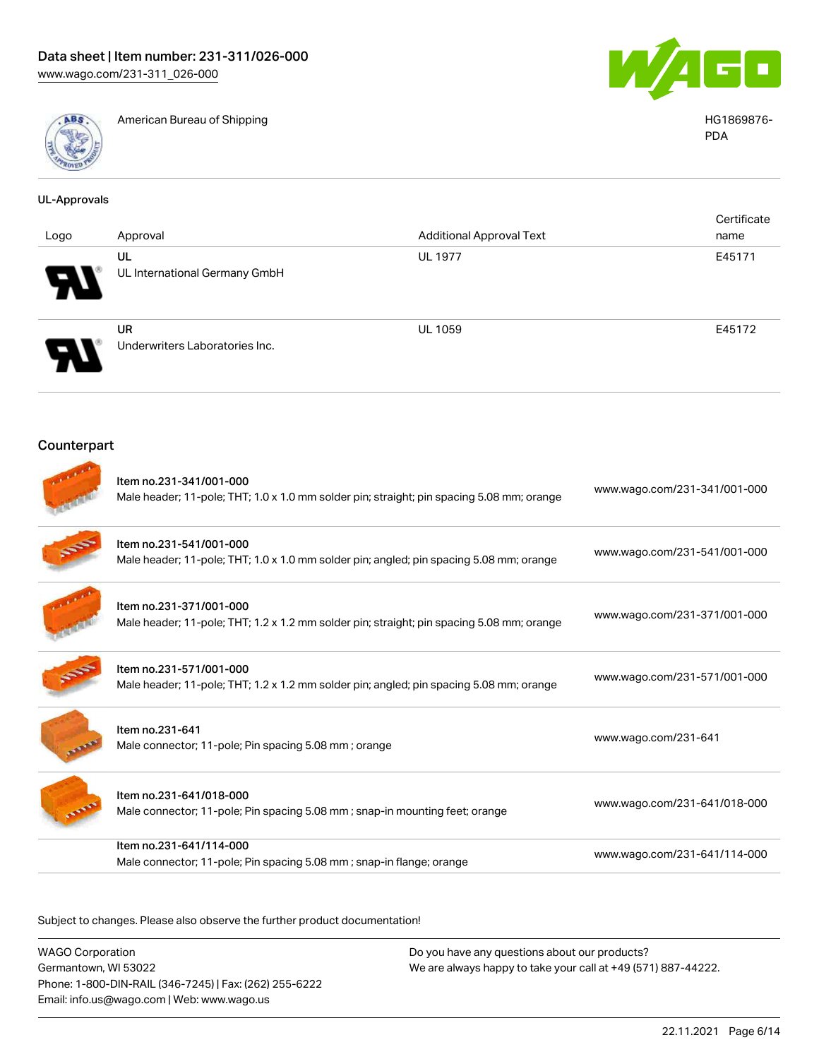

American Bureau of Shipping HG1869876-



PDA

| <b>UL-Approvals</b> |                                                                                                                      |                                 |                              |
|---------------------|----------------------------------------------------------------------------------------------------------------------|---------------------------------|------------------------------|
| Logo                | Approval                                                                                                             | <b>Additional Approval Text</b> | Certificate<br>name          |
|                     | UL<br>UL International Germany GmbH                                                                                  | <b>UL 1977</b>                  | E45171                       |
|                     | <b>UR</b><br>Underwriters Laboratories Inc.                                                                          | <b>UL 1059</b>                  | E45172                       |
| Counterpart         |                                                                                                                      |                                 |                              |
|                     | Item no.231-341/001-000<br>Male header; 11-pole; THT; 1.0 x 1.0 mm solder pin; straight; pin spacing 5.08 mm; orange |                                 | www.wago.com/231-341/001-000 |
|                     | Item no.231-541/001-000<br>Male header; 11-pole; THT; 1.0 x 1.0 mm solder pin; angled; pin spacing 5.08 mm; orange   |                                 | www.wago.com/231-541/001-000 |
|                     | Item no.231-371/001-000<br>Male header; 11-pole; THT; 1.2 x 1.2 mm solder pin; straight; pin spacing 5.08 mm; orange |                                 | www.wago.com/231-371/001-000 |
|                     | Item no.231-571/001-000<br>Male header; 11-pole; THT; 1.2 x 1.2 mm solder pin; angled; pin spacing 5.08 mm; orange   |                                 | www.wago.com/231-571/001-000 |
|                     | Item no.231-641<br>Male connector; 11-pole; Pin spacing 5.08 mm; orange                                              |                                 | www.wago.com/231-641         |
|                     | Item no.231-641/018-000<br>Male connector; 11-pole; Pin spacing 5.08 mm; snap-in mounting feet; orange               |                                 | www.wago.com/231-641/018-000 |
|                     | Item no.231-641/114-000<br>Male connector; 11-pole; Pin spacing 5.08 mm; snap-in flange; orange                      |                                 | www.wago.com/231-641/114-000 |
|                     |                                                                                                                      |                                 |                              |

Subject to changes. Please also observe the further product documentation!

WAGO Corporation Germantown, WI 53022 Phone: 1-800-DIN-RAIL (346-7245) | Fax: (262) 255-6222 Email: info.us@wago.com | Web: www.wago.us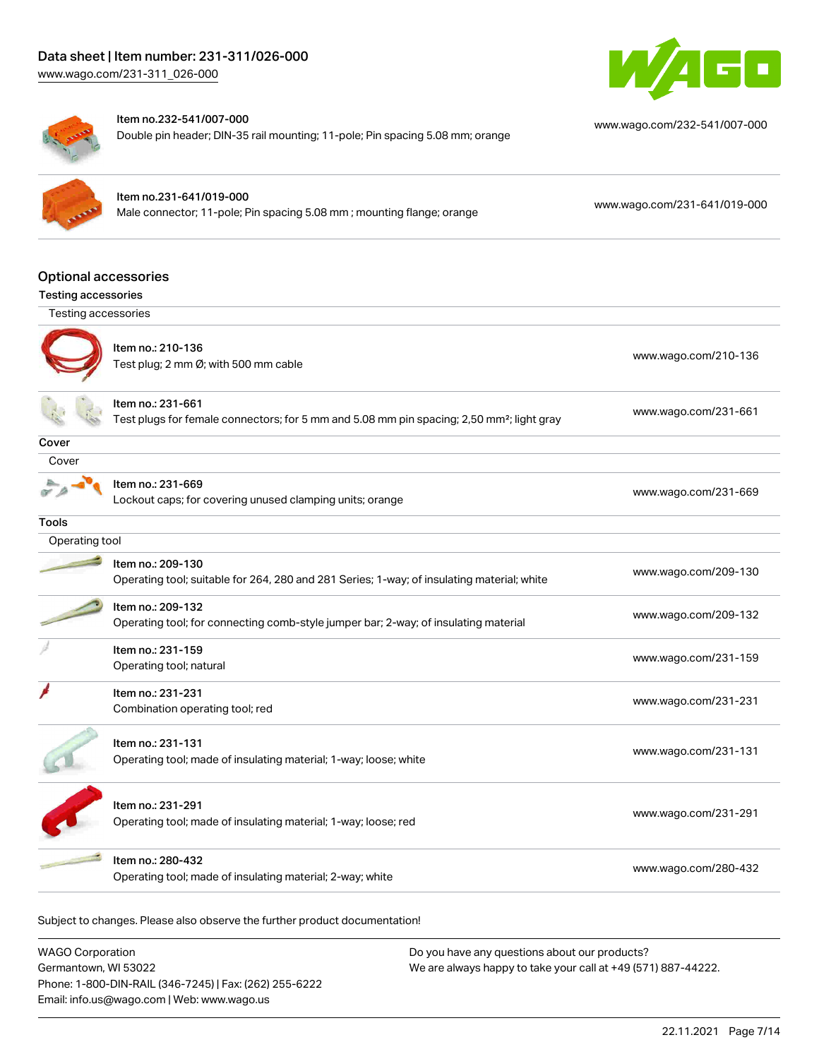



#### Item no.232-541/007-000

Double pin header; DIN-35 rail mounting; 11-pole; Pin spacing 5.08 mm; orange

[www.wago.com/232-541/007-000](https://www.wago.com/232-541/007-000)

#### Item no.231-641/019-000

Male connector; 11-pole; Pin spacing 5.08 mm ; mounting flange; orange [www.wago.com/231-641/019-000](https://www.wago.com/231-641/019-000)

Optional accessories

#### Testing accessories

| Testing accessories |                                                                                                                            |                      |
|---------------------|----------------------------------------------------------------------------------------------------------------------------|----------------------|
|                     | Item no.: 210-136<br>Test plug; 2 mm Ø; with 500 mm cable                                                                  | www.wago.com/210-136 |
|                     | Item no.: 231-661<br>Test plugs for female connectors; for 5 mm and 5.08 mm pin spacing; 2,50 mm <sup>2</sup> ; light gray | www.wago.com/231-661 |
| Cover               |                                                                                                                            |                      |
| Cover               |                                                                                                                            |                      |
|                     | Item no.: 231-669<br>Lockout caps; for covering unused clamping units; orange                                              | www.wago.com/231-669 |
| Tools               |                                                                                                                            |                      |
| Operating tool      |                                                                                                                            |                      |
|                     | Item no.: 209-130<br>Operating tool; suitable for 264, 280 and 281 Series; 1-way; of insulating material; white            | www.wago.com/209-130 |
|                     | Item no.: 209-132<br>Operating tool; for connecting comb-style jumper bar; 2-way; of insulating material                   | www.wago.com/209-132 |
|                     | Item no.: 231-159<br>Operating tool; natural                                                                               | www.wago.com/231-159 |
|                     | Item no.: 231-231<br>Combination operating tool; red                                                                       | www.wago.com/231-231 |
|                     | Item no.: 231-131<br>Operating tool; made of insulating material; 1-way; loose; white                                      | www.wago.com/231-131 |
|                     | Item no.: 231-291<br>Operating tool; made of insulating material; 1-way; loose; red                                        | www.wago.com/231-291 |
|                     | Item no.: 280-432<br>Operating tool; made of insulating material; 2-way; white                                             | www.wago.com/280-432 |

Subject to changes. Please also observe the further product documentation!

| <b>WAGO Corporation</b>                                |  |
|--------------------------------------------------------|--|
| Germantown, WI 53022                                   |  |
| Phone: 1-800-DIN-RAIL (346-7245)   Fax: (262) 255-6222 |  |
| Email: info.us@wago.com   Web: www.wago.us             |  |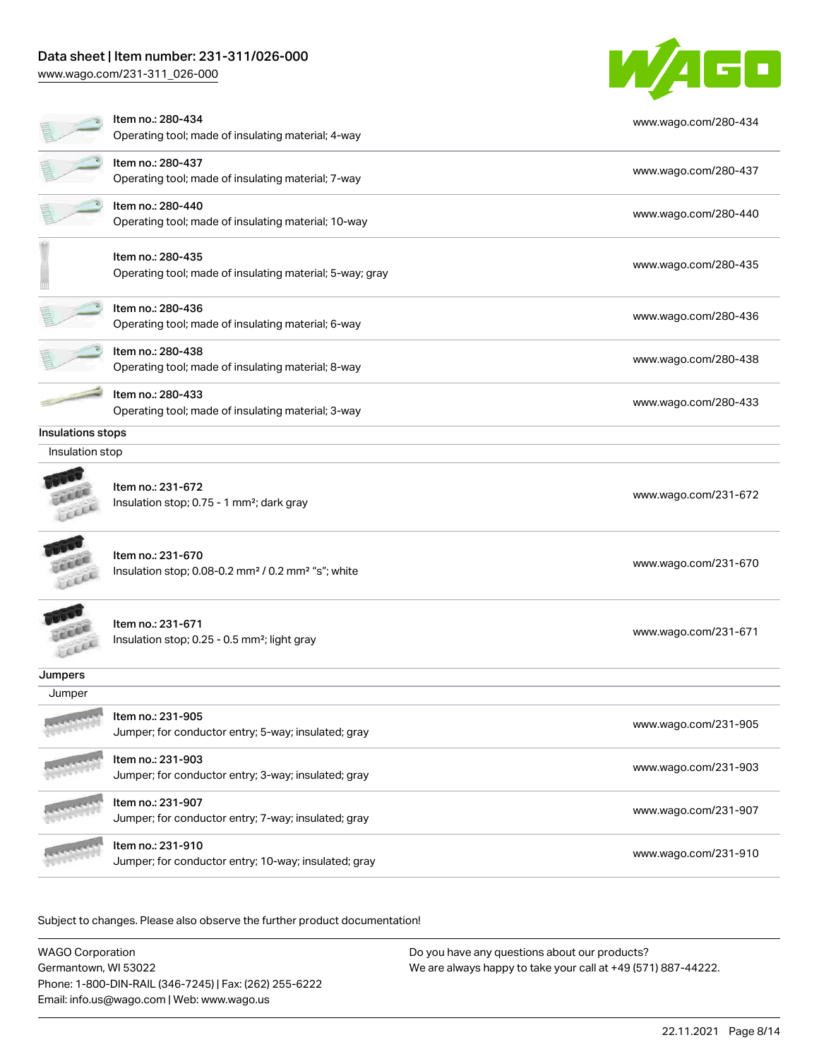## Data sheet | Item number: 231-311/026-000

[www.wago.com/231-311\\_026-000](http://www.wago.com/231-311_026-000)



|                   | Item no.: 280-434<br>Operating tool; made of insulating material; 4-way                         | www.wago.com/280-434 |
|-------------------|-------------------------------------------------------------------------------------------------|----------------------|
|                   | Item no.: 280-437<br>Operating tool; made of insulating material; 7-way                         | www.wago.com/280-437 |
|                   | Item no.: 280-440<br>Operating tool; made of insulating material; 10-way                        | www.wago.com/280-440 |
|                   | Item no.: 280-435<br>Operating tool; made of insulating material; 5-way; gray                   | www.wago.com/280-435 |
|                   | Item no.: 280-436<br>Operating tool; made of insulating material; 6-way                         | www.wago.com/280-436 |
|                   | Item no.: 280-438<br>Operating tool; made of insulating material; 8-way                         | www.wago.com/280-438 |
|                   | Item no.: 280-433<br>Operating tool; made of insulating material; 3-way                         | www.wago.com/280-433 |
| Insulations stops |                                                                                                 |                      |
| Insulation stop   |                                                                                                 |                      |
|                   | Item no.: 231-672<br>Insulation stop; 0.75 - 1 mm <sup>2</sup> ; dark gray                      | www.wago.com/231-672 |
|                   | Item no.: 231-670<br>Insulation stop; 0.08-0.2 mm <sup>2</sup> / 0.2 mm <sup>2</sup> "s"; white | www.wago.com/231-670 |
| LEEL              | Item no.: 231-671<br>Insulation stop; 0.25 - 0.5 mm <sup>2</sup> ; light gray                   | www.wago.com/231-671 |
| Jumpers           |                                                                                                 |                      |
| Jumper            |                                                                                                 |                      |
|                   | Item no.: 231-905<br>Jumper; for conductor entry; 5-way; insulated; gray                        | www.wago.com/231-905 |
|                   | Item no.: 231-903<br>Jumper; for conductor entry; 3-way; insulated; gray                        | www.wago.com/231-903 |
|                   | Item no.: 231-907<br>Jumper; for conductor entry; 7-way; insulated; gray                        | www.wago.com/231-907 |
|                   | Item no.: 231-910<br>Jumper; for conductor entry; 10-way; insulated; gray                       | www.wago.com/231-910 |
|                   |                                                                                                 |                      |

Subject to changes. Please also observe the further product documentation!

| <b>WAGO Corporation</b>                                | Do you have any questions about our products?                 |
|--------------------------------------------------------|---------------------------------------------------------------|
| Germantown, WI 53022                                   | We are always happy to take your call at +49 (571) 887-44222. |
| Phone: 1-800-DIN-RAIL (346-7245)   Fax: (262) 255-6222 |                                                               |
| Email: info.us@wago.com   Web: www.wago.us             |                                                               |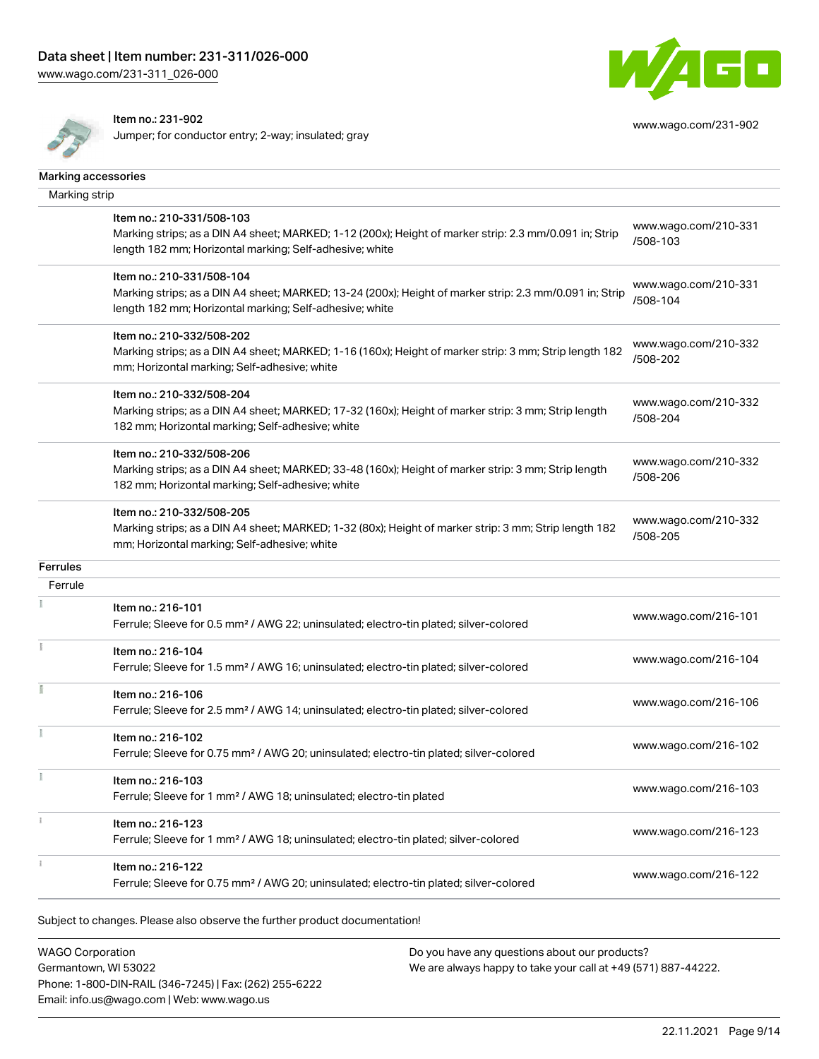[www.wago.com/231-311\\_026-000](http://www.wago.com/231-311_026-000)



Item no.: 231-902

Jumper; for conductor entry; 2-way; insulated; gray



[www.wago.com/231-902](http://www.wago.com/231-902)

| Marking accessories |                                                                                                                                                                                                 |                                  |
|---------------------|-------------------------------------------------------------------------------------------------------------------------------------------------------------------------------------------------|----------------------------------|
| Marking strip       |                                                                                                                                                                                                 |                                  |
|                     | Item no.: 210-331/508-103<br>Marking strips; as a DIN A4 sheet; MARKED; 1-12 (200x); Height of marker strip: 2.3 mm/0.091 in; Strip<br>length 182 mm; Horizontal marking; Self-adhesive; white  | www.wago.com/210-331<br>/508-103 |
|                     | Item no.: 210-331/508-104<br>Marking strips; as a DIN A4 sheet; MARKED; 13-24 (200x); Height of marker strip: 2.3 mm/0.091 in; Strip<br>length 182 mm; Horizontal marking; Self-adhesive; white | www.wago.com/210-331<br>/508-104 |
|                     | Item no.: 210-332/508-202<br>Marking strips; as a DIN A4 sheet; MARKED; 1-16 (160x); Height of marker strip: 3 mm; Strip length 182<br>mm; Horizontal marking; Self-adhesive; white             | www.wago.com/210-332<br>/508-202 |
|                     | Item no.: 210-332/508-204<br>Marking strips; as a DIN A4 sheet; MARKED; 17-32 (160x); Height of marker strip: 3 mm; Strip length<br>182 mm; Horizontal marking; Self-adhesive; white            | www.wago.com/210-332<br>/508-204 |
|                     | Item no.: 210-332/508-206<br>Marking strips; as a DIN A4 sheet; MARKED; 33-48 (160x); Height of marker strip: 3 mm; Strip length<br>182 mm; Horizontal marking; Self-adhesive; white            | www.wago.com/210-332<br>/508-206 |
|                     | Item no.: 210-332/508-205<br>Marking strips; as a DIN A4 sheet; MARKED; 1-32 (80x); Height of marker strip: 3 mm; Strip length 182<br>mm; Horizontal marking; Self-adhesive; white              | www.wago.com/210-332<br>/508-205 |
| <b>Ferrules</b>     |                                                                                                                                                                                                 |                                  |
| Ferrule             |                                                                                                                                                                                                 |                                  |
|                     | Item no.: 216-101<br>Ferrule; Sleeve for 0.5 mm <sup>2</sup> / AWG 22; uninsulated; electro-tin plated; silver-colored                                                                          | www.wago.com/216-101             |
|                     | Item no.: 216-104<br>Ferrule; Sleeve for 1.5 mm <sup>2</sup> / AWG 16; uninsulated; electro-tin plated; silver-colored                                                                          | www.wago.com/216-104             |
|                     | Item no.: 216-106<br>Ferrule; Sleeve for 2.5 mm <sup>2</sup> / AWG 14; uninsulated; electro-tin plated; silver-colored                                                                          | www.wago.com/216-106             |
|                     | Item no.: 216-102<br>Ferrule; Sleeve for 0.75 mm <sup>2</sup> / AWG 20; uninsulated; electro-tin plated; silver-colored                                                                         | www.wago.com/216-102             |
|                     | Item no.: 216-103<br>Ferrule; Sleeve for 1 mm <sup>2</sup> / AWG 18; uninsulated; electro-tin plated                                                                                            | www.wago.com/216-103             |
|                     | Item no.: 216-123<br>Ferrule; Sleeve for 1 mm <sup>2</sup> / AWG 18; uninsulated; electro-tin plated; silver-colored                                                                            | www.wago.com/216-123             |
|                     | Item no.: 216-122<br>Ferrule; Sleeve for 0.75 mm <sup>2</sup> / AWG 20; uninsulated; electro-tin plated; silver-colored                                                                         | www.wago.com/216-122             |
|                     |                                                                                                                                                                                                 |                                  |

Subject to changes. Please also observe the further product documentation!

WAGO Corporation Germantown, WI 53022 Phone: 1-800-DIN-RAIL (346-7245) | Fax: (262) 255-6222 Email: info.us@wago.com | Web: www.wago.us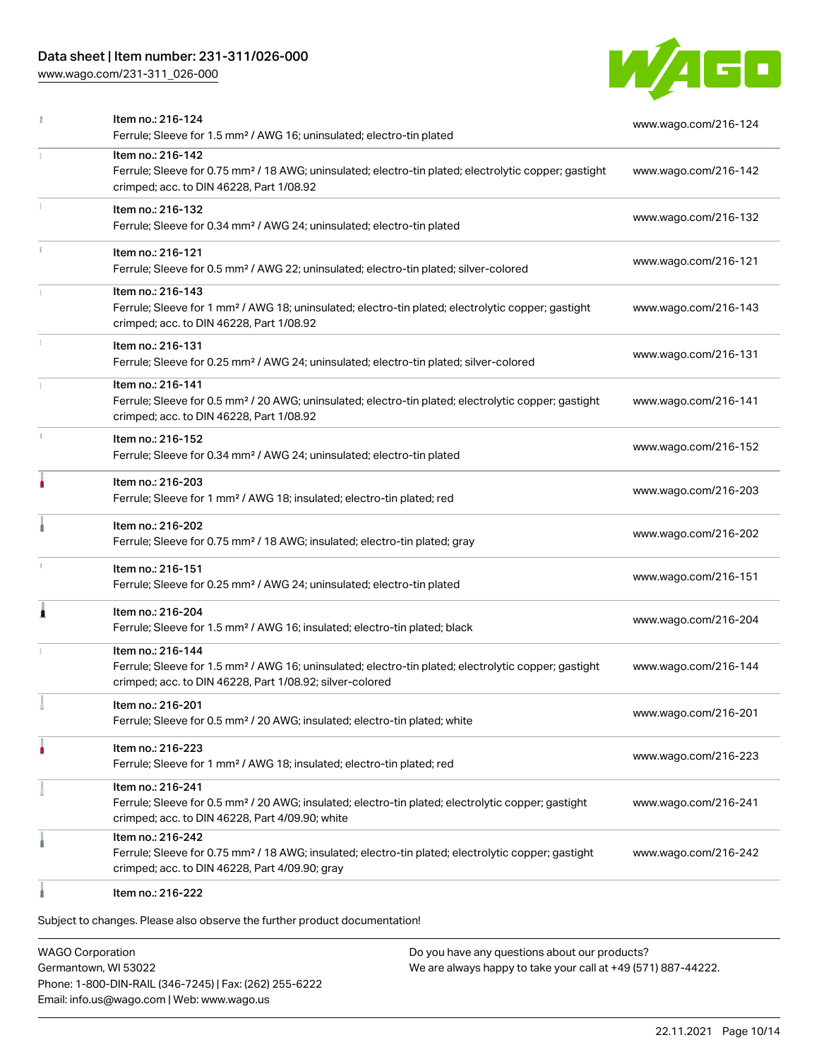# Data sheet | Item number: 231-311/026-000

[www.wago.com/231-311\\_026-000](http://www.wago.com/231-311_026-000)



|    | Item no.: 216-124<br>Ferrule; Sleeve for 1.5 mm <sup>2</sup> / AWG 16; uninsulated; electro-tin plated                                                                                            | www.wago.com/216-124 |
|----|---------------------------------------------------------------------------------------------------------------------------------------------------------------------------------------------------|----------------------|
|    | Item no.: 216-142<br>Ferrule; Sleeve for 0.75 mm <sup>2</sup> / 18 AWG; uninsulated; electro-tin plated; electrolytic copper; gastight<br>crimped; acc. to DIN 46228, Part 1/08.92                | www.wago.com/216-142 |
|    | Item no.: 216-132<br>Ferrule; Sleeve for 0.34 mm <sup>2</sup> / AWG 24; uninsulated; electro-tin plated                                                                                           | www.wago.com/216-132 |
|    | Item no.: 216-121<br>Ferrule; Sleeve for 0.5 mm <sup>2</sup> / AWG 22; uninsulated; electro-tin plated; silver-colored                                                                            | www.wago.com/216-121 |
|    | Item no.: 216-143<br>Ferrule; Sleeve for 1 mm <sup>2</sup> / AWG 18; uninsulated; electro-tin plated; electrolytic copper; gastight<br>crimped; acc. to DIN 46228, Part 1/08.92                   | www.wago.com/216-143 |
|    | Item no.: 216-131<br>Ferrule; Sleeve for 0.25 mm <sup>2</sup> / AWG 24; uninsulated; electro-tin plated; silver-colored                                                                           | www.wago.com/216-131 |
|    | Item no.: 216-141<br>Ferrule; Sleeve for 0.5 mm <sup>2</sup> / 20 AWG; uninsulated; electro-tin plated; electrolytic copper; gastight<br>crimped; acc. to DIN 46228, Part 1/08.92                 | www.wago.com/216-141 |
| J. | Item no.: 216-152<br>Ferrule; Sleeve for 0.34 mm <sup>2</sup> / AWG 24; uninsulated; electro-tin plated                                                                                           | www.wago.com/216-152 |
|    | Item no.: 216-203<br>Ferrule; Sleeve for 1 mm <sup>2</sup> / AWG 18; insulated; electro-tin plated; red                                                                                           | www.wago.com/216-203 |
|    | Item no.: 216-202<br>Ferrule; Sleeve for 0.75 mm <sup>2</sup> / 18 AWG; insulated; electro-tin plated; gray                                                                                       | www.wago.com/216-202 |
|    | Item no.: 216-151<br>Ferrule; Sleeve for 0.25 mm <sup>2</sup> / AWG 24; uninsulated; electro-tin plated                                                                                           | www.wago.com/216-151 |
| Â  | Item no.: 216-204<br>Ferrule; Sleeve for 1.5 mm <sup>2</sup> / AWG 16; insulated; electro-tin plated; black                                                                                       | www.wago.com/216-204 |
|    | Item no.: 216-144<br>Ferrule; Sleeve for 1.5 mm <sup>2</sup> / AWG 16; uninsulated; electro-tin plated; electrolytic copper; gastight<br>crimped; acc. to DIN 46228, Part 1/08.92; silver-colored | www.wago.com/216-144 |
|    | Item no.: 216-201<br>Ferrule; Sleeve for 0.5 mm <sup>2</sup> / 20 AWG; insulated; electro-tin plated; white                                                                                       | www.wago.com/216-201 |
|    | Item no.: 216-223<br>Ferrule; Sleeve for 1 mm <sup>2</sup> / AWG 18; insulated; electro-tin plated; red                                                                                           | www.wago.com/216-223 |
|    | Item no.: 216-241<br>Ferrule; Sleeve for 0.5 mm <sup>2</sup> / 20 AWG; insulated; electro-tin plated; electrolytic copper; gastight<br>crimped; acc. to DIN 46228, Part 4/09.90; white            | www.wago.com/216-241 |
|    | Item no.: 216-242<br>Ferrule; Sleeve for 0.75 mm <sup>2</sup> / 18 AWG; insulated; electro-tin plated; electrolytic copper; gastight<br>crimped; acc. to DIN 46228, Part 4/09.90; gray            | www.wago.com/216-242 |
|    | Item no.: 216-222                                                                                                                                                                                 |                      |

Item no.: 216-222

Subject to changes. Please also observe the further product documentation!

WAGO Corporation Germantown, WI 53022 Phone: 1-800-DIN-RAIL (346-7245) | Fax: (262) 255-6222 Email: info.us@wago.com | Web: www.wago.us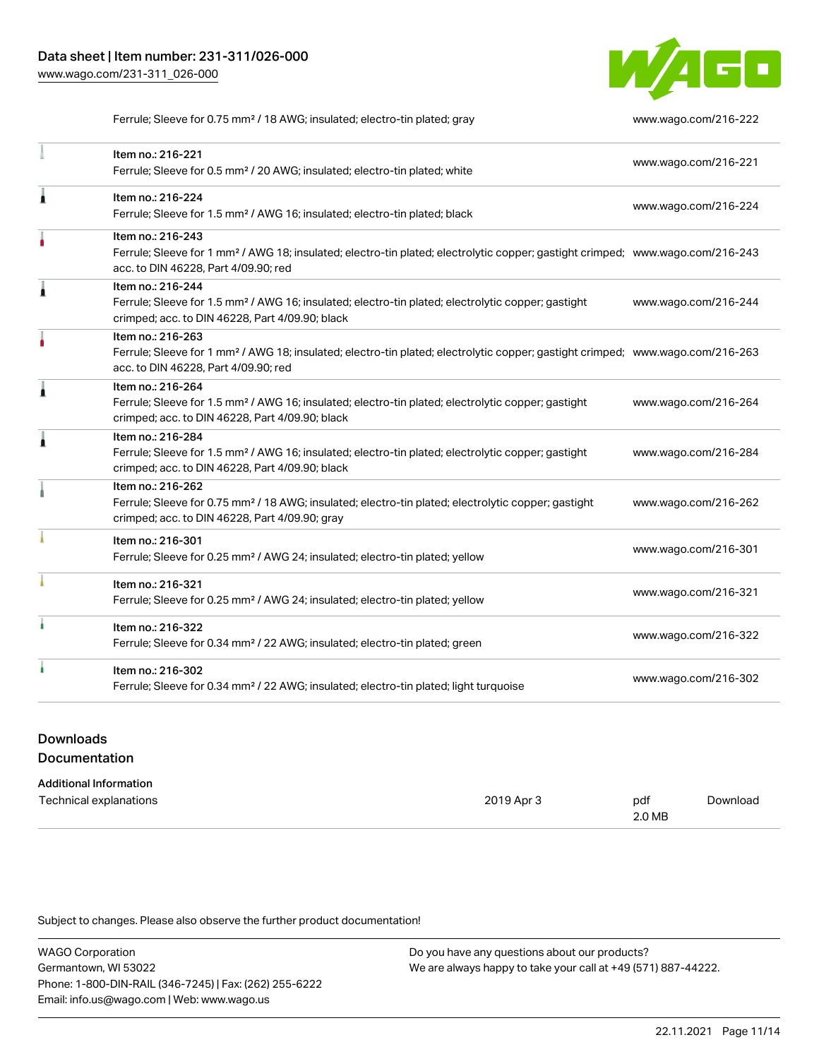

Ferrule; Sleeve for 0.75 mm² / 18 AWG; insulated; electro-tin plated; gray [www.wago.com/216-222](http://www.wago.com/216-222)

|   | Item no.: 216-221<br>Ferrule; Sleeve for 0.5 mm <sup>2</sup> / 20 AWG; insulated; electro-tin plated; white                                                                                             | www.wago.com/216-221 |
|---|---------------------------------------------------------------------------------------------------------------------------------------------------------------------------------------------------------|----------------------|
| Ă | Item no.: 216-224<br>Ferrule; Sleeve for 1.5 mm <sup>2</sup> / AWG 16; insulated; electro-tin plated; black                                                                                             | www.wago.com/216-224 |
|   | Item no.: 216-243<br>Ferrule; Sleeve for 1 mm <sup>2</sup> / AWG 18; insulated; electro-tin plated; electrolytic copper; gastight crimped; www.wago.com/216-243<br>acc. to DIN 46228, Part 4/09.90; red |                      |
|   | Item no.: 216-244<br>Ferrule; Sleeve for 1.5 mm <sup>2</sup> / AWG 16; insulated; electro-tin plated; electrolytic copper; gastight<br>crimped; acc. to DIN 46228, Part 4/09.90; black                  | www.wago.com/216-244 |
|   | Item no.: 216-263<br>Ferrule; Sleeve for 1 mm <sup>2</sup> / AWG 18; insulated; electro-tin plated; electrolytic copper; gastight crimped; www.wago.com/216-263<br>acc. to DIN 46228, Part 4/09.90; red |                      |
|   | Item no.: 216-264<br>Ferrule; Sleeve for 1.5 mm <sup>2</sup> / AWG 16; insulated; electro-tin plated; electrolytic copper; gastight<br>crimped; acc. to DIN 46228, Part 4/09.90; black                  | www.wago.com/216-264 |
| Ă | Item no.: 216-284<br>Ferrule; Sleeve for 1.5 mm <sup>2</sup> / AWG 16; insulated; electro-tin plated; electrolytic copper; gastight<br>crimped; acc. to DIN 46228, Part 4/09.90; black                  | www.wago.com/216-284 |
|   | Item no.: 216-262<br>Ferrule; Sleeve for 0.75 mm <sup>2</sup> / 18 AWG; insulated; electro-tin plated; electrolytic copper; gastight<br>crimped; acc. to DIN 46228, Part 4/09.90; gray                  | www.wago.com/216-262 |
|   | Item no.: 216-301<br>Ferrule; Sleeve for 0.25 mm <sup>2</sup> / AWG 24; insulated; electro-tin plated; yellow                                                                                           | www.wago.com/216-301 |
|   | Item no.: 216-321<br>Ferrule; Sleeve for 0.25 mm <sup>2</sup> / AWG 24; insulated; electro-tin plated; yellow                                                                                           | www.wago.com/216-321 |
|   | Item no.: 216-322<br>Ferrule; Sleeve for 0.34 mm <sup>2</sup> / 22 AWG; insulated; electro-tin plated; green                                                                                            | www.wago.com/216-322 |
|   | Item no.: 216-302<br>Ferrule; Sleeve for 0.34 mm <sup>2</sup> / 22 AWG; insulated; electro-tin plated; light turquoise                                                                                  | www.wago.com/216-302 |

## Downloads Documentation

| Additional Information |  |
|------------------------|--|
|------------------------|--|

| Technical explanations | 2019 Apr | pdf    | Download |
|------------------------|----------|--------|----------|
|                        |          | 2.0 MB |          |

Subject to changes. Please also observe the further product documentation!

WAGO Corporation Germantown, WI 53022 Phone: 1-800-DIN-RAIL (346-7245) | Fax: (262) 255-6222 Email: info.us@wago.com | Web: www.wago.us Do you have any questions about our products? We are always happy to take your call at +49 (571) 887-44222.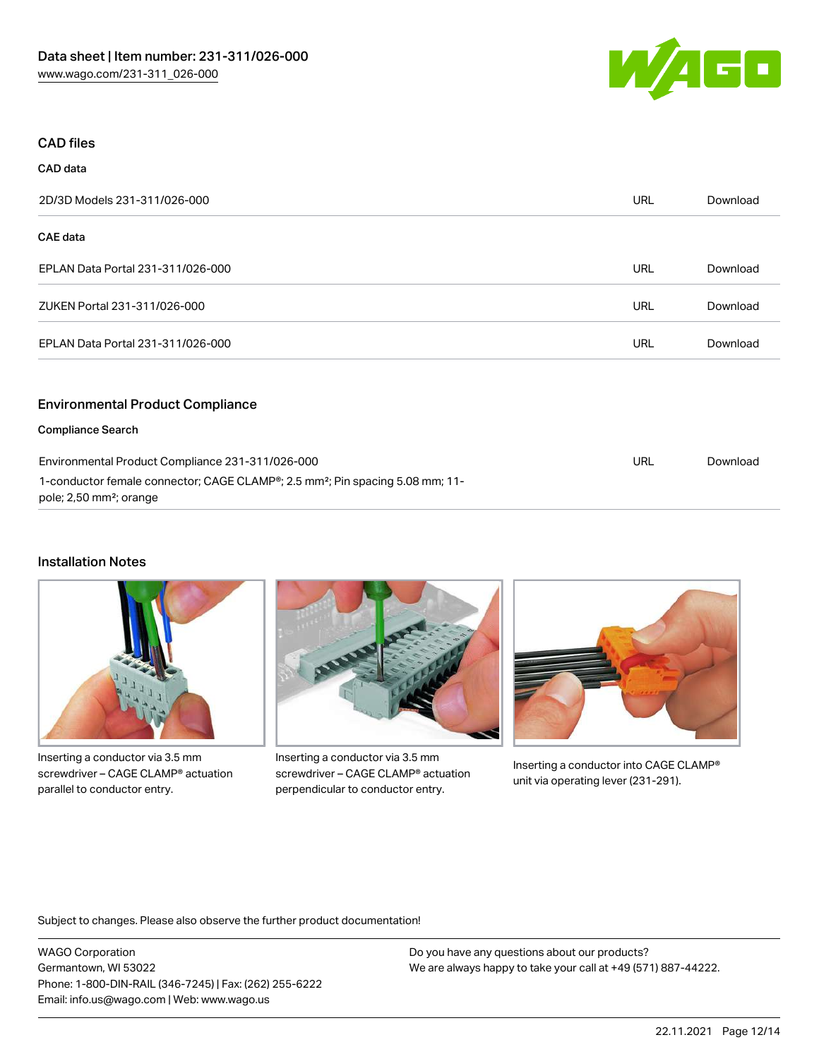

#### CAD files

CAD data

| 2D/3D Models 231-311/026-000                     | <b>URL</b> | Download |
|--------------------------------------------------|------------|----------|
| <b>CAE</b> data                                  |            |          |
| EPLAN Data Portal 231-311/026-000                | URL        | Download |
| ZUKEN Portal 231-311/026-000                     | URL        | Download |
| EPLAN Data Portal 231-311/026-000                | URL        | Download |
| <b>Environmental Product Compliance</b>          |            |          |
| <b>Compliance Search</b>                         |            |          |
| Environmental Product Compliance 231-311/026-000 | URL        | Download |

1-conductor female connector; CAGE CLAMP®; 2.5 mm²; Pin spacing 5.08 mm; 11 pole; 2,50 mm²; orange

#### Installation Notes



Inserting a conductor via 3.5 mm screwdriver – CAGE CLAMP® actuation parallel to conductor entry.



Inserting a conductor via 3.5 mm screwdriver – CAGE CLAMP® actuation perpendicular to conductor entry.



Inserting a conductor into CAGE CLAMP® unit via operating lever (231-291).

Subject to changes. Please also observe the further product documentation!

WAGO Corporation Germantown, WI 53022 Phone: 1-800-DIN-RAIL (346-7245) | Fax: (262) 255-6222 Email: info.us@wago.com | Web: www.wago.us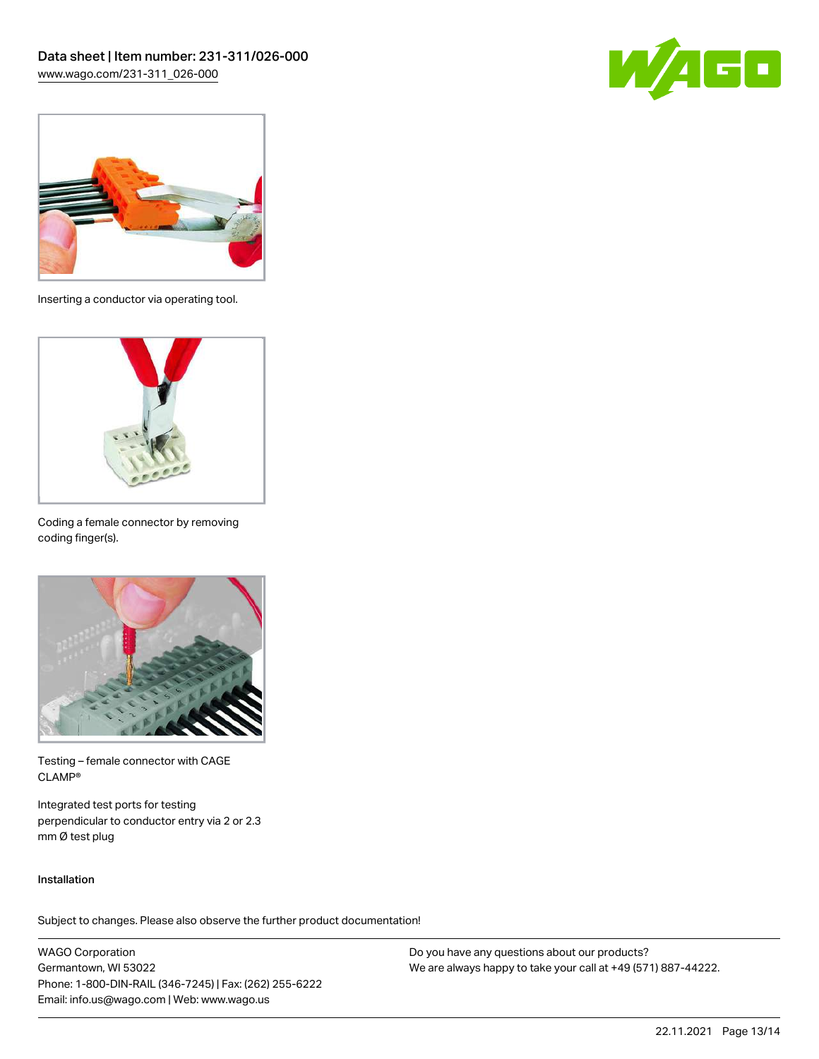



Inserting a conductor via operating tool.



Coding a female connector by removing coding finger(s).



Testing – female connector with CAGE CLAMP®

Integrated test ports for testing perpendicular to conductor entry via 2 or 2.3 mm Ø test plug

#### Installation

Subject to changes. Please also observe the further product documentation!

WAGO Corporation Germantown, WI 53022 Phone: 1-800-DIN-RAIL (346-7245) | Fax: (262) 255-6222 Email: info.us@wago.com | Web: www.wago.us